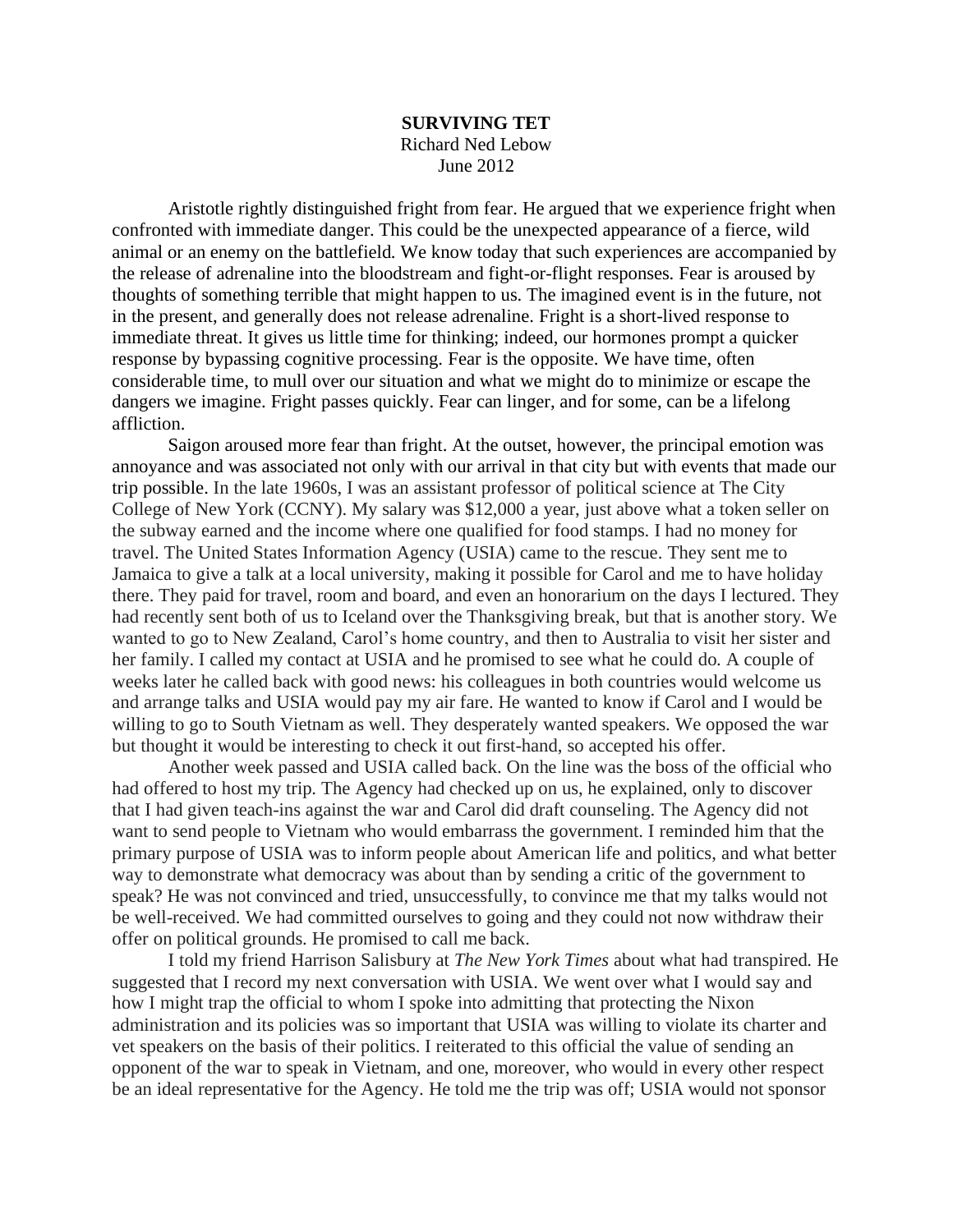## **SURVIVING TET** Richard Ned Lebow June 2012

Aristotle rightly distinguished fright from fear. He argued that we experience fright when confronted with immediate danger. This could be the unexpected appearance of a fierce, wild animal or an enemy on the battlefield. We know today that such experiences are accompanied by the release of adrenaline into the bloodstream and fight-or-flight responses. Fear is aroused by thoughts of something terrible that might happen to us. The imagined event is in the future, not in the present, and generally does not release adrenaline. Fright is a short-lived response to immediate threat. It gives us little time for thinking; indeed, our hormones prompt a quicker response by bypassing cognitive processing. Fear is the opposite. We have time, often considerable time, to mull over our situation and what we might do to minimize or escape the dangers we imagine. Fright passes quickly. Fear can linger, and for some, can be a lifelong affliction.

Saigon aroused more fear than fright. At the outset, however, the principal emotion was annoyance and was associated not only with our arrival in that city but with events that made our trip possible. In the late 1960s, I was an assistant professor of political science at The City College of New York (CCNY). My salary was \$12,000 a year, just above what a token seller on the subway earned and the income where one qualified for food stamps. I had no money for travel. The United States Information Agency (USIA) came to the rescue. They sent me to Jamaica to give a talk at a local university, making it possible for Carol and me to have holiday there. They paid for travel, room and board, and even an honorarium on the days I lectured. They had recently sent both of us to Iceland over the Thanksgiving break, but that is another story. We wanted to go to New Zealand, Carol's home country, and then to Australia to visit her sister and her family. I called my contact at USIA and he promised to see what he could do. A couple of weeks later he called back with good news: his colleagues in both countries would welcome us and arrange talks and USIA would pay my air fare. He wanted to know if Carol and I would be willing to go to South Vietnam as well. They desperately wanted speakers. We opposed the war but thought it would be interesting to check it out first-hand, so accepted his offer.

Another week passed and USIA called back. On the line was the boss of the official who had offered to host my trip. The Agency had checked up on us, he explained, only to discover that I had given teach-ins against the war and Carol did draft counseling. The Agency did not want to send people to Vietnam who would embarrass the government. I reminded him that the primary purpose of USIA was to inform people about American life and politics, and what better way to demonstrate what democracy was about than by sending a critic of the government to speak? He was not convinced and tried, unsuccessfully, to convince me that my talks would not be well-received. We had committed ourselves to going and they could not now withdraw their offer on political grounds. He promised to call me back.

I told my friend Harrison Salisbury at *The New York Times* about what had transpired. He suggested that I record my next conversation with USIA. We went over what I would say and how I might trap the official to whom I spoke into admitting that protecting the Nixon administration and its policies was so important that USIA was willing to violate its charter and vet speakers on the basis of their politics. I reiterated to this official the value of sending an opponent of the war to speak in Vietnam, and one, moreover, who would in every other respect be an ideal representative for the Agency. He told me the trip was off; USIA would not sponsor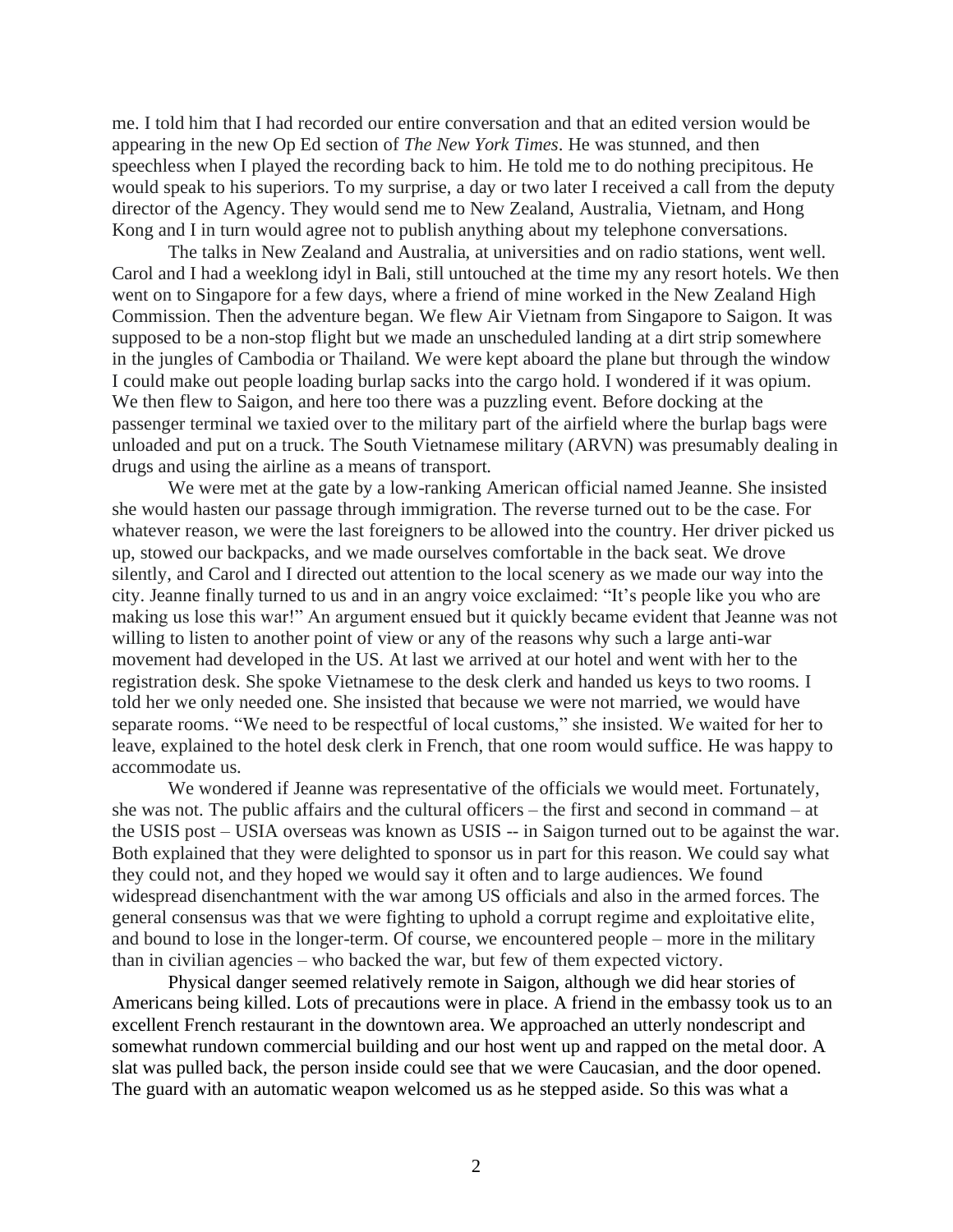me. I told him that I had recorded our entire conversation and that an edited version would be appearing in the new Op Ed section of *The New York Times*. He was stunned, and then speechless when I played the recording back to him. He told me to do nothing precipitous. He would speak to his superiors. To my surprise, a day or two later I received a call from the deputy director of the Agency. They would send me to New Zealand, Australia, Vietnam, and Hong Kong and I in turn would agree not to publish anything about my telephone conversations.

The talks in New Zealand and Australia, at universities and on radio stations, went well. Carol and I had a weeklong idyl in Bali, still untouched at the time my any resort hotels. We then went on to Singapore for a few days, where a friend of mine worked in the New Zealand High Commission. Then the adventure began. We flew Air Vietnam from Singapore to Saigon. It was supposed to be a non-stop flight but we made an unscheduled landing at a dirt strip somewhere in the jungles of Cambodia or Thailand. We were kept aboard the plane but through the window I could make out people loading burlap sacks into the cargo hold. I wondered if it was opium. We then flew to Saigon, and here too there was a puzzling event. Before docking at the passenger terminal we taxied over to the military part of the airfield where the burlap bags were unloaded and put on a truck. The South Vietnamese military (ARVN) was presumably dealing in drugs and using the airline as a means of transport.

We were met at the gate by a low-ranking American official named Jeanne. She insisted she would hasten our passage through immigration. The reverse turned out to be the case. For whatever reason, we were the last foreigners to be allowed into the country. Her driver picked us up, stowed our backpacks, and we made ourselves comfortable in the back seat. We drove silently, and Carol and I directed out attention to the local scenery as we made our way into the city. Jeanne finally turned to us and in an angry voice exclaimed: "It's people like you who are making us lose this war!" An argument ensued but it quickly became evident that Jeanne was not willing to listen to another point of view or any of the reasons why such a large anti-war movement had developed in the US. At last we arrived at our hotel and went with her to the registration desk. She spoke Vietnamese to the desk clerk and handed us keys to two rooms. I told her we only needed one. She insisted that because we were not married, we would have separate rooms. "We need to be respectful of local customs," she insisted. We waited for her to leave, explained to the hotel desk clerk in French, that one room would suffice. He was happy to accommodate us.

We wondered if Jeanne was representative of the officials we would meet. Fortunately, she was not. The public affairs and the cultural officers – the first and second in command – at the USIS post – USIA overseas was known as USIS -- in Saigon turned out to be against the war. Both explained that they were delighted to sponsor us in part for this reason. We could say what they could not, and they hoped we would say it often and to large audiences. We found widespread disenchantment with the war among US officials and also in the armed forces. The general consensus was that we were fighting to uphold a corrupt regime and exploitative elite, and bound to lose in the longer-term. Of course, we encountered people – more in the military than in civilian agencies – who backed the war, but few of them expected victory.

Physical danger seemed relatively remote in Saigon, although we did hear stories of Americans being killed. Lots of precautions were in place. A friend in the embassy took us to an excellent French restaurant in the downtown area. We approached an utterly nondescript and somewhat rundown commercial building and our host went up and rapped on the metal door. A slat was pulled back, the person inside could see that we were Caucasian, and the door opened. The guard with an automatic weapon welcomed us as he stepped aside. So this was what a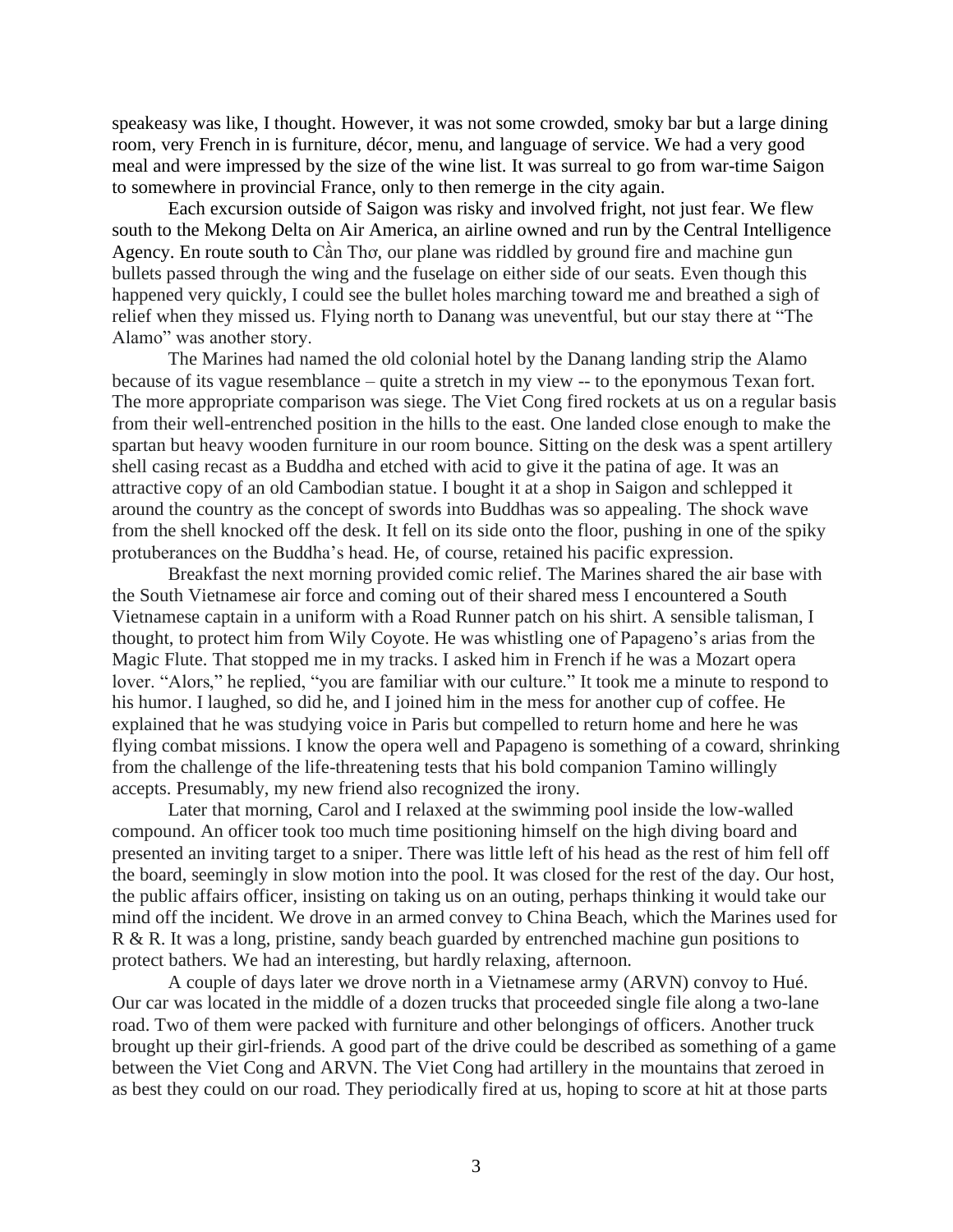speakeasy was like, I thought. However, it was not some crowded, smoky bar but a large dining room, very French in is furniture, décor, menu, and language of service. We had a very good meal and were impressed by the size of the wine list. It was surreal to go from war-time Saigon to somewhere in provincial France, only to then remerge in the city again.

Each excursion outside of Saigon was risky and involved fright, not just fear. We flew south to the Mekong Delta on Air America, an airline owned and run by the Central Intelligence Agency. En route south to Cần Thơ, our plane was riddled by ground fire and machine gun bullets passed through the wing and the fuselage on either side of our seats. Even though this happened very quickly, I could see the bullet holes marching toward me and breathed a sigh of relief when they missed us. Flying north to Danang was uneventful, but our stay there at "The Alamo" was another story.

The Marines had named the old colonial hotel by the Danang landing strip the Alamo because of its vague resemblance – quite a stretch in my view -- to the eponymous Texan fort. The more appropriate comparison was siege. The Viet Cong fired rockets at us on a regular basis from their well-entrenched position in the hills to the east. One landed close enough to make the spartan but heavy wooden furniture in our room bounce. Sitting on the desk was a spent artillery shell casing recast as a Buddha and etched with acid to give it the patina of age. It was an attractive copy of an old Cambodian statue. I bought it at a shop in Saigon and schlepped it around the country as the concept of swords into Buddhas was so appealing. The shock wave from the shell knocked off the desk. It fell on its side onto the floor, pushing in one of the spiky protuberances on the Buddha's head. He, of course, retained his pacific expression.

Breakfast the next morning provided comic relief. The Marines shared the air base with the South Vietnamese air force and coming out of their shared mess I encountered a South Vietnamese captain in a uniform with a Road Runner patch on his shirt. A sensible talisman, I thought, to protect him from Wily Coyote. He was whistling one of Papageno's arias from the Magic Flute. That stopped me in my tracks. I asked him in French if he was a Mozart opera lover. "Alors," he replied, "you are familiar with our culture." It took me a minute to respond to his humor. I laughed, so did he, and I joined him in the mess for another cup of coffee. He explained that he was studying voice in Paris but compelled to return home and here he was flying combat missions. I know the opera well and Papageno is something of a coward, shrinking from the challenge of the life-threatening tests that his bold companion Tamino willingly accepts. Presumably, my new friend also recognized the irony.

Later that morning, Carol and I relaxed at the swimming pool inside the low-walled compound. An officer took too much time positioning himself on the high diving board and presented an inviting target to a sniper. There was little left of his head as the rest of him fell off the board, seemingly in slow motion into the pool. It was closed for the rest of the day. Our host, the public affairs officer, insisting on taking us on an outing, perhaps thinking it would take our mind off the incident. We drove in an armed convey to China Beach, which the Marines used for R & R. It was a long, pristine, sandy beach guarded by entrenched machine gun positions to protect bathers. We had an interesting, but hardly relaxing, afternoon.

A couple of days later we drove north in a Vietnamese army (ARVN) convoy to Hué. Our car was located in the middle of a dozen trucks that proceeded single file along a two-lane road. Two of them were packed with furniture and other belongings of officers. Another truck brought up their girl-friends. A good part of the drive could be described as something of a game between the Viet Cong and ARVN. The Viet Cong had artillery in the mountains that zeroed in as best they could on our road. They periodically fired at us, hoping to score at hit at those parts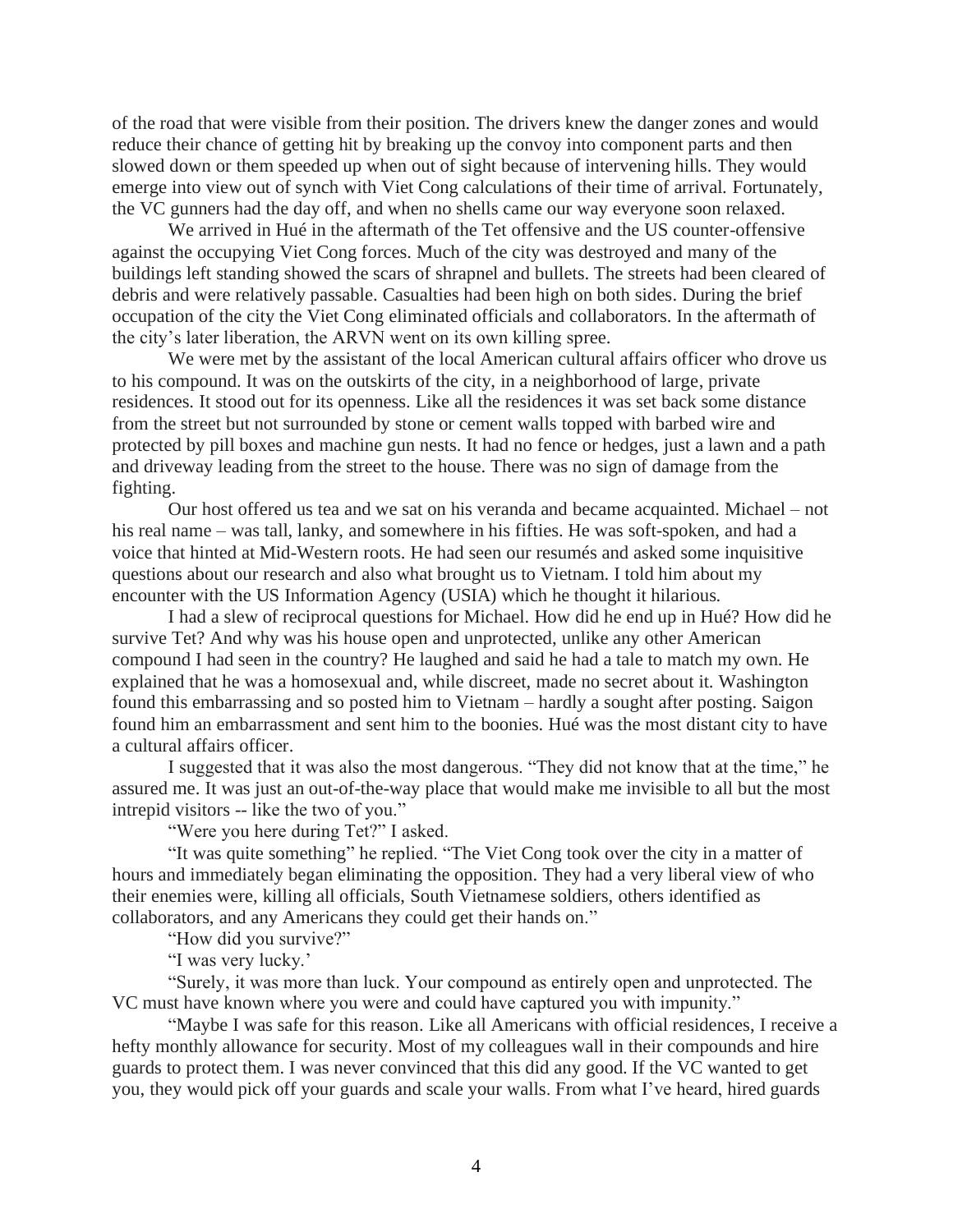of the road that were visible from their position. The drivers knew the danger zones and would reduce their chance of getting hit by breaking up the convoy into component parts and then slowed down or them speeded up when out of sight because of intervening hills. They would emerge into view out of synch with Viet Cong calculations of their time of arrival. Fortunately, the VC gunners had the day off, and when no shells came our way everyone soon relaxed.

We arrived in Hué in the aftermath of the Tet offensive and the US counter-offensive against the occupying Viet Cong forces. Much of the city was destroyed and many of the buildings left standing showed the scars of shrapnel and bullets. The streets had been cleared of debris and were relatively passable. Casualties had been high on both sides. During the brief occupation of the city the Viet Cong eliminated officials and collaborators. In the aftermath of the city's later liberation, the ARVN went on its own killing spree.

We were met by the assistant of the local American cultural affairs officer who drove us to his compound. It was on the outskirts of the city, in a neighborhood of large, private residences. It stood out for its openness. Like all the residences it was set back some distance from the street but not surrounded by stone or cement walls topped with barbed wire and protected by pill boxes and machine gun nests. It had no fence or hedges, just a lawn and a path and driveway leading from the street to the house. There was no sign of damage from the fighting.

Our host offered us tea and we sat on his veranda and became acquainted. Michael – not his real name – was tall, lanky, and somewhere in his fifties. He was soft-spoken, and had a voice that hinted at Mid-Western roots. He had seen our resumés and asked some inquisitive questions about our research and also what brought us to Vietnam. I told him about my encounter with the US Information Agency (USIA) which he thought it hilarious.

I had a slew of reciprocal questions for Michael. How did he end up in Hué? How did he survive Tet? And why was his house open and unprotected, unlike any other American compound I had seen in the country? He laughed and said he had a tale to match my own. He explained that he was a homosexual and, while discreet, made no secret about it. Washington found this embarrassing and so posted him to Vietnam – hardly a sought after posting. Saigon found him an embarrassment and sent him to the boonies. Hué was the most distant city to have a cultural affairs officer.

I suggested that it was also the most dangerous. "They did not know that at the time," he assured me. It was just an out-of-the-way place that would make me invisible to all but the most intrepid visitors -- like the two of you."

"Were you here during Tet?" I asked.

"It was quite something" he replied. "The Viet Cong took over the city in a matter of hours and immediately began eliminating the opposition. They had a very liberal view of who their enemies were, killing all officials, South Vietnamese soldiers, others identified as collaborators, and any Americans they could get their hands on."

"How did you survive?"

"I was very lucky.'

"Surely, it was more than luck. Your compound as entirely open and unprotected. The VC must have known where you were and could have captured you with impunity."

"Maybe I was safe for this reason. Like all Americans with official residences, I receive a hefty monthly allowance for security. Most of my colleagues wall in their compounds and hire guards to protect them. I was never convinced that this did any good. If the VC wanted to get you, they would pick off your guards and scale your walls. From what I've heard, hired guards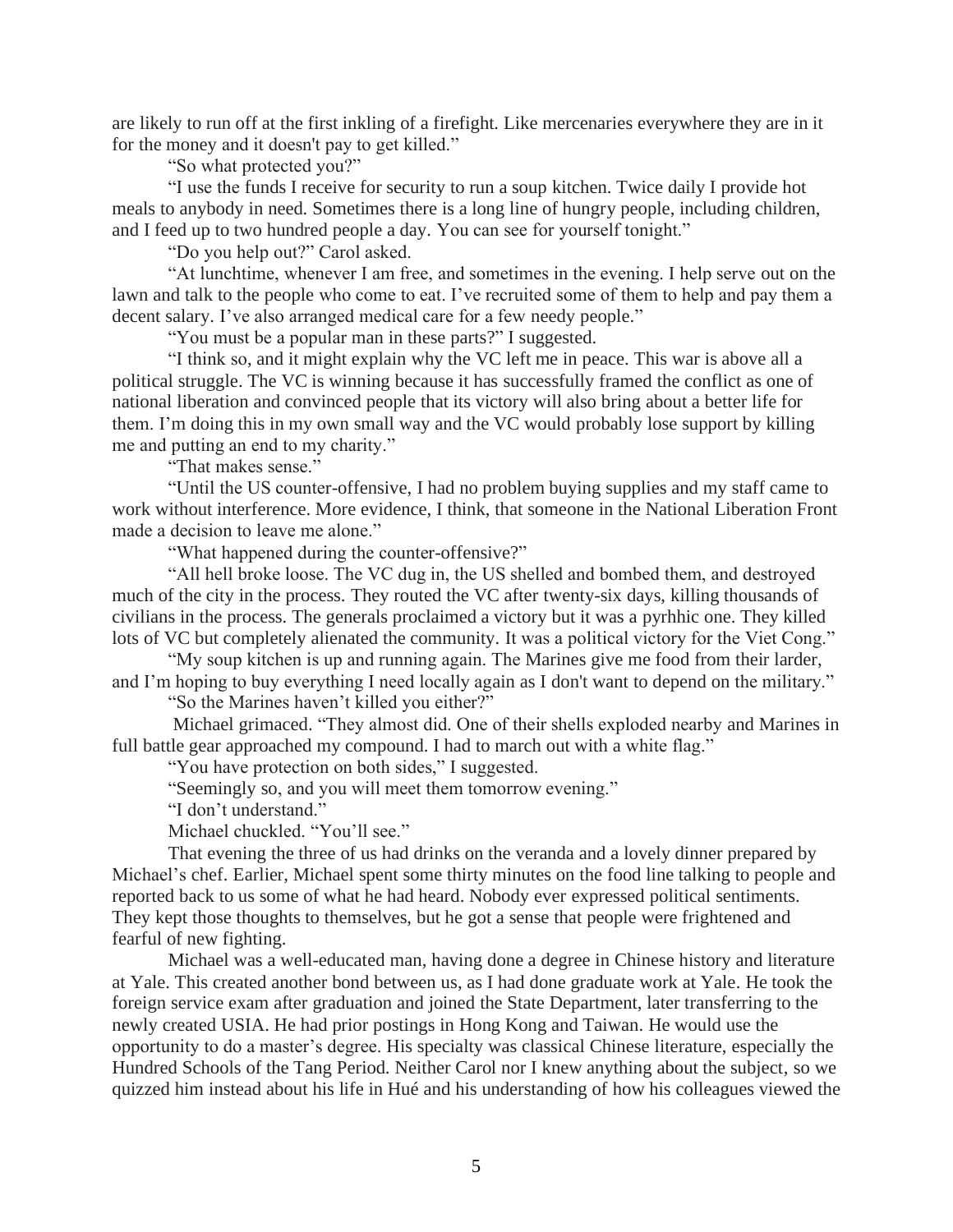are likely to run off at the first inkling of a firefight. Like mercenaries everywhere they are in it for the money and it doesn't pay to get killed."

"So what protected you?"

"I use the funds I receive for security to run a soup kitchen. Twice daily I provide hot meals to anybody in need. Sometimes there is a long line of hungry people, including children, and I feed up to two hundred people a day. You can see for yourself tonight."

"Do you help out?" Carol asked.

"At lunchtime, whenever I am free, and sometimes in the evening. I help serve out on the lawn and talk to the people who come to eat. I've recruited some of them to help and pay them a decent salary. I've also arranged medical care for a few needy people."

"You must be a popular man in these parts?" I suggested.

"I think so, and it might explain why the VC left me in peace. This war is above all a political struggle. The VC is winning because it has successfully framed the conflict as one of national liberation and convinced people that its victory will also bring about a better life for them. I'm doing this in my own small way and the VC would probably lose support by killing me and putting an end to my charity."

"That makes sense."

"Until the US counter-offensive, I had no problem buying supplies and my staff came to work without interference. More evidence, I think, that someone in the National Liberation Front made a decision to leave me alone."

"What happened during the counter-offensive?"

"All hell broke loose. The VC dug in, the US shelled and bombed them, and destroyed much of the city in the process. They routed the VC after twenty-six days, killing thousands of civilians in the process. The generals proclaimed a victory but it was a pyrhhic one. They killed lots of VC but completely alienated the community. It was a political victory for the Viet Cong."

"My soup kitchen is up and running again. The Marines give me food from their larder, and I'm hoping to buy everything I need locally again as I don't want to depend on the military."

"So the Marines haven't killed you either?"

Michael grimaced. "They almost did. One of their shells exploded nearby and Marines in full battle gear approached my compound. I had to march out with a white flag."

"You have protection on both sides," I suggested.

"Seemingly so, and you will meet them tomorrow evening."

"I don't understand."

Michael chuckled. "You'll see."

That evening the three of us had drinks on the veranda and a lovely dinner prepared by Michael's chef. Earlier, Michael spent some thirty minutes on the food line talking to people and reported back to us some of what he had heard. Nobody ever expressed political sentiments. They kept those thoughts to themselves, but he got a sense that people were frightened and fearful of new fighting.

Michael was a well-educated man, having done a degree in Chinese history and literature at Yale. This created another bond between us, as I had done graduate work at Yale. He took the foreign service exam after graduation and joined the State Department, later transferring to the newly created USIA. He had prior postings in Hong Kong and Taiwan. He would use the opportunity to do a master's degree. His specialty was classical Chinese literature, especially the Hundred Schools of the Tang Period. Neither Carol nor I knew anything about the subject, so we quizzed him instead about his life in Hué and his understanding of how his colleagues viewed the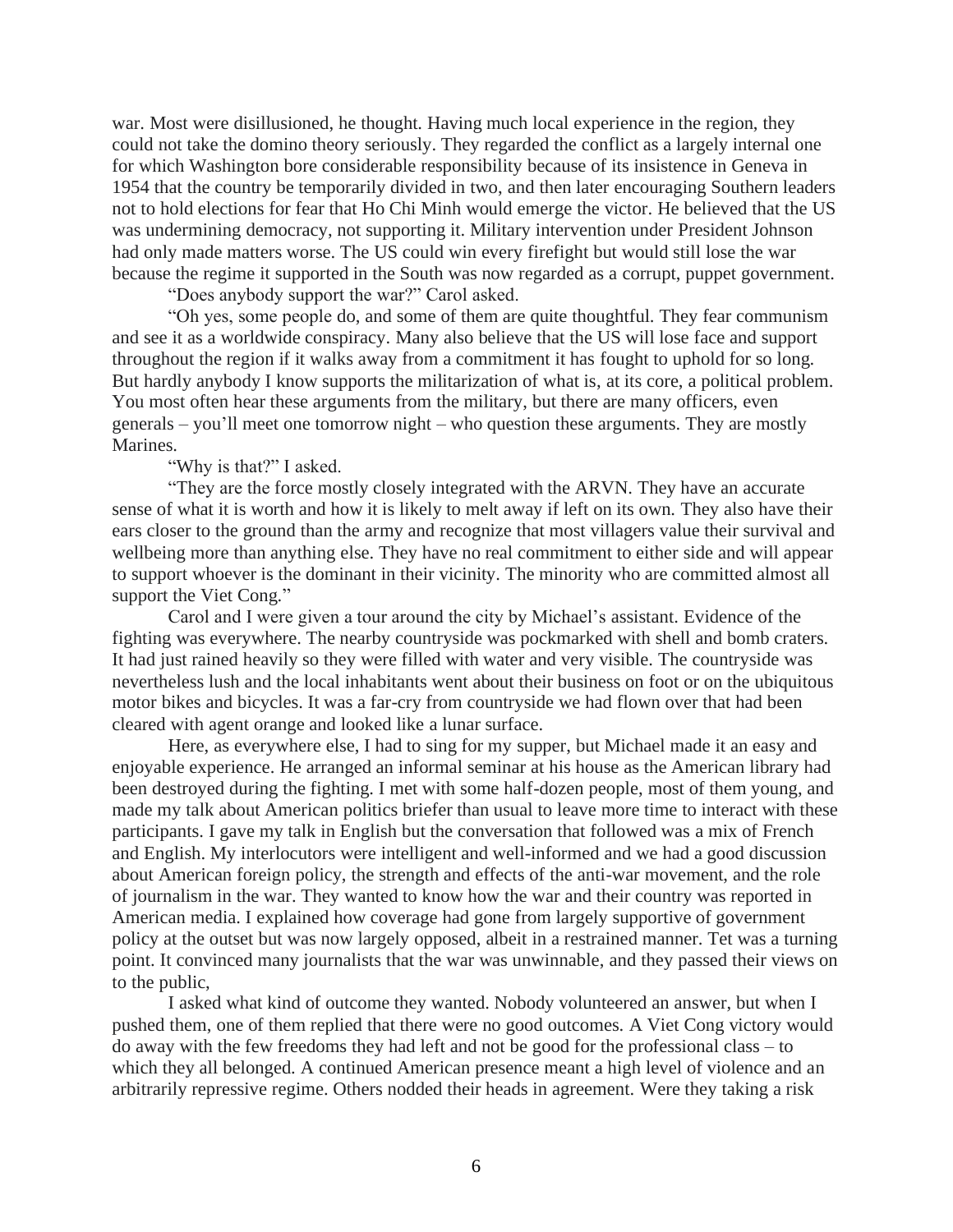war. Most were disillusioned, he thought. Having much local experience in the region, they could not take the domino theory seriously. They regarded the conflict as a largely internal one for which Washington bore considerable responsibility because of its insistence in Geneva in 1954 that the country be temporarily divided in two, and then later encouraging Southern leaders not to hold elections for fear that Ho Chi Minh would emerge the victor. He believed that the US was undermining democracy, not supporting it. Military intervention under President Johnson had only made matters worse. The US could win every firefight but would still lose the war because the regime it supported in the South was now regarded as a corrupt, puppet government.

"Does anybody support the war?" Carol asked.

"Oh yes, some people do, and some of them are quite thoughtful. They fear communism and see it as a worldwide conspiracy. Many also believe that the US will lose face and support throughout the region if it walks away from a commitment it has fought to uphold for so long. But hardly anybody I know supports the militarization of what is, at its core, a political problem. You most often hear these arguments from the military, but there are many officers, even generals – you'll meet one tomorrow night – who question these arguments. They are mostly Marines.

"Why is that?" I asked.

"They are the force mostly closely integrated with the ARVN. They have an accurate sense of what it is worth and how it is likely to melt away if left on its own. They also have their ears closer to the ground than the army and recognize that most villagers value their survival and wellbeing more than anything else. They have no real commitment to either side and will appear to support whoever is the dominant in their vicinity. The minority who are committed almost all support the Viet Cong."

Carol and I were given a tour around the city by Michael's assistant. Evidence of the fighting was everywhere. The nearby countryside was pockmarked with shell and bomb craters. It had just rained heavily so they were filled with water and very visible. The countryside was nevertheless lush and the local inhabitants went about their business on foot or on the ubiquitous motor bikes and bicycles. It was a far-cry from countryside we had flown over that had been cleared with agent orange and looked like a lunar surface.

Here, as everywhere else, I had to sing for my supper, but Michael made it an easy and enjoyable experience. He arranged an informal seminar at his house as the American library had been destroyed during the fighting. I met with some half-dozen people, most of them young, and made my talk about American politics briefer than usual to leave more time to interact with these participants. I gave my talk in English but the conversation that followed was a mix of French and English. My interlocutors were intelligent and well-informed and we had a good discussion about American foreign policy, the strength and effects of the anti-war movement, and the role of journalism in the war. They wanted to know how the war and their country was reported in American media. I explained how coverage had gone from largely supportive of government policy at the outset but was now largely opposed, albeit in a restrained manner. Tet was a turning point. It convinced many journalists that the war was unwinnable, and they passed their views on to the public,

I asked what kind of outcome they wanted. Nobody volunteered an answer, but when I pushed them, one of them replied that there were no good outcomes. A Viet Cong victory would do away with the few freedoms they had left and not be good for the professional class – to which they all belonged. A continued American presence meant a high level of violence and an arbitrarily repressive regime. Others nodded their heads in agreement. Were they taking a risk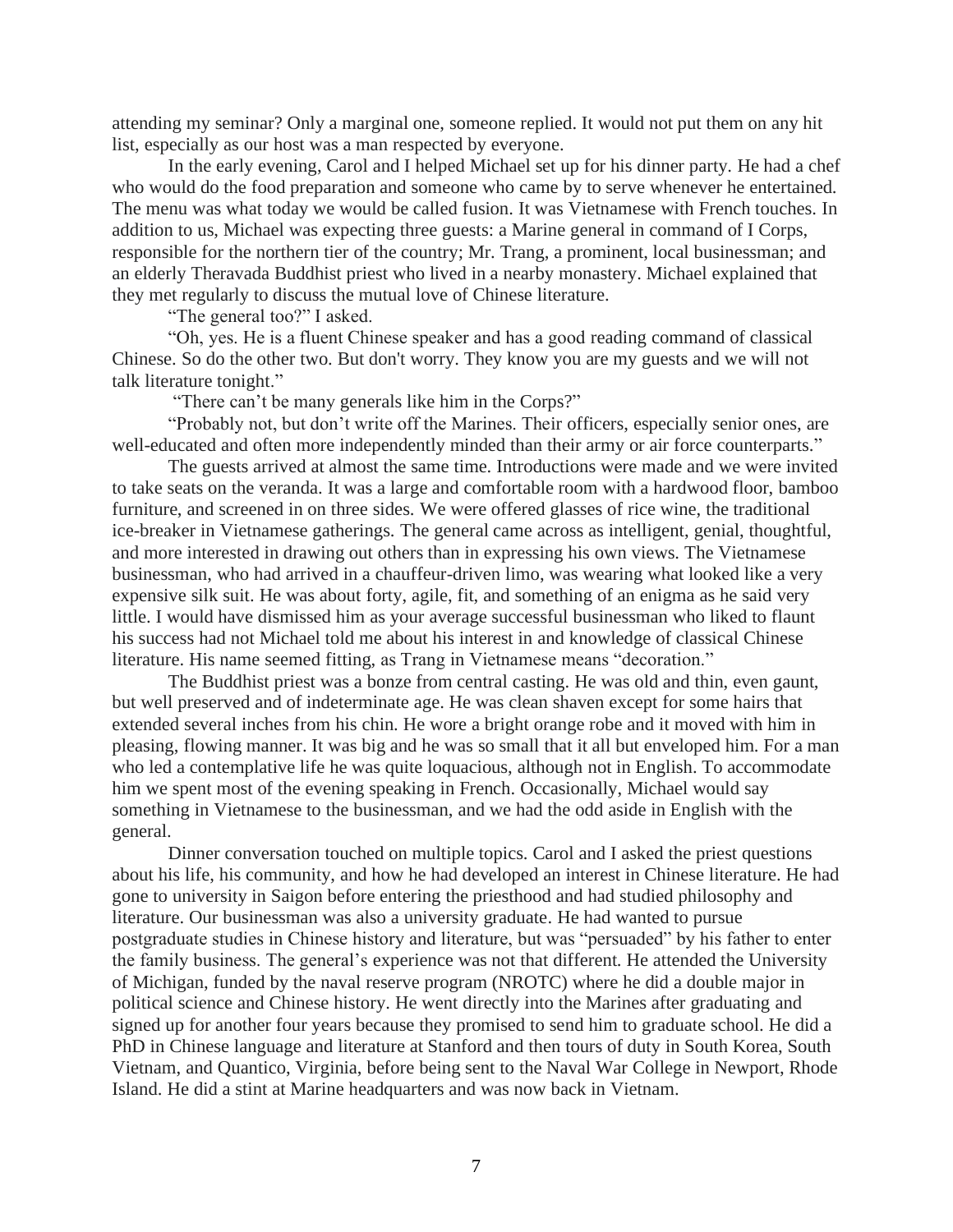attending my seminar? Only a marginal one, someone replied. It would not put them on any hit list, especially as our host was a man respected by everyone.

In the early evening, Carol and I helped Michael set up for his dinner party. He had a chef who would do the food preparation and someone who came by to serve whenever he entertained. The menu was what today we would be called fusion. It was Vietnamese with French touches. In addition to us, Michael was expecting three guests: a Marine general in command of I Corps, responsible for the northern tier of the country; Mr. Trang, a prominent, local businessman; and an elderly Theravada Buddhist priest who lived in a nearby monastery. Michael explained that they met regularly to discuss the mutual love of Chinese literature.

"The general too?" I asked.

"Oh, yes. He is a fluent Chinese speaker and has a good reading command of classical Chinese. So do the other two. But don't worry. They know you are my guests and we will not talk literature tonight."

"There can't be many generals like him in the Corps?"

"Probably not, but don't write off the Marines. Their officers, especially senior ones, are well-educated and often more independently minded than their army or air force counterparts."

The guests arrived at almost the same time. Introductions were made and we were invited to take seats on the veranda. It was a large and comfortable room with a hardwood floor, bamboo furniture, and screened in on three sides. We were offered glasses of rice wine, the traditional ice-breaker in Vietnamese gatherings. The general came across as intelligent, genial, thoughtful, and more interested in drawing out others than in expressing his own views. The Vietnamese businessman, who had arrived in a chauffeur-driven limo, was wearing what looked like a very expensive silk suit. He was about forty, agile, fit, and something of an enigma as he said very little. I would have dismissed him as your average successful businessman who liked to flaunt his success had not Michael told me about his interest in and knowledge of classical Chinese literature. His name seemed fitting, as Trang in Vietnamese means "decoration."

The Buddhist priest was a bonze from central casting. He was old and thin, even gaunt, but well preserved and of indeterminate age. He was clean shaven except for some hairs that extended several inches from his chin. He wore a bright orange robe and it moved with him in pleasing, flowing manner. It was big and he was so small that it all but enveloped him. For a man who led a contemplative life he was quite loquacious, although not in English. To accommodate him we spent most of the evening speaking in French. Occasionally, Michael would say something in Vietnamese to the businessman, and we had the odd aside in English with the general.

Dinner conversation touched on multiple topics. Carol and I asked the priest questions about his life, his community, and how he had developed an interest in Chinese literature. He had gone to university in Saigon before entering the priesthood and had studied philosophy and literature. Our businessman was also a university graduate. He had wanted to pursue postgraduate studies in Chinese history and literature, but was "persuaded" by his father to enter the family business. The general's experience was not that different. He attended the University of Michigan, funded by the naval reserve program (NROTC) where he did a double major in political science and Chinese history. He went directly into the Marines after graduating and signed up for another four years because they promised to send him to graduate school. He did a PhD in Chinese language and literature at Stanford and then tours of duty in South Korea, South Vietnam, and Quantico, Virginia, before being sent to the Naval War College in Newport, Rhode Island. He did a stint at Marine headquarters and was now back in Vietnam.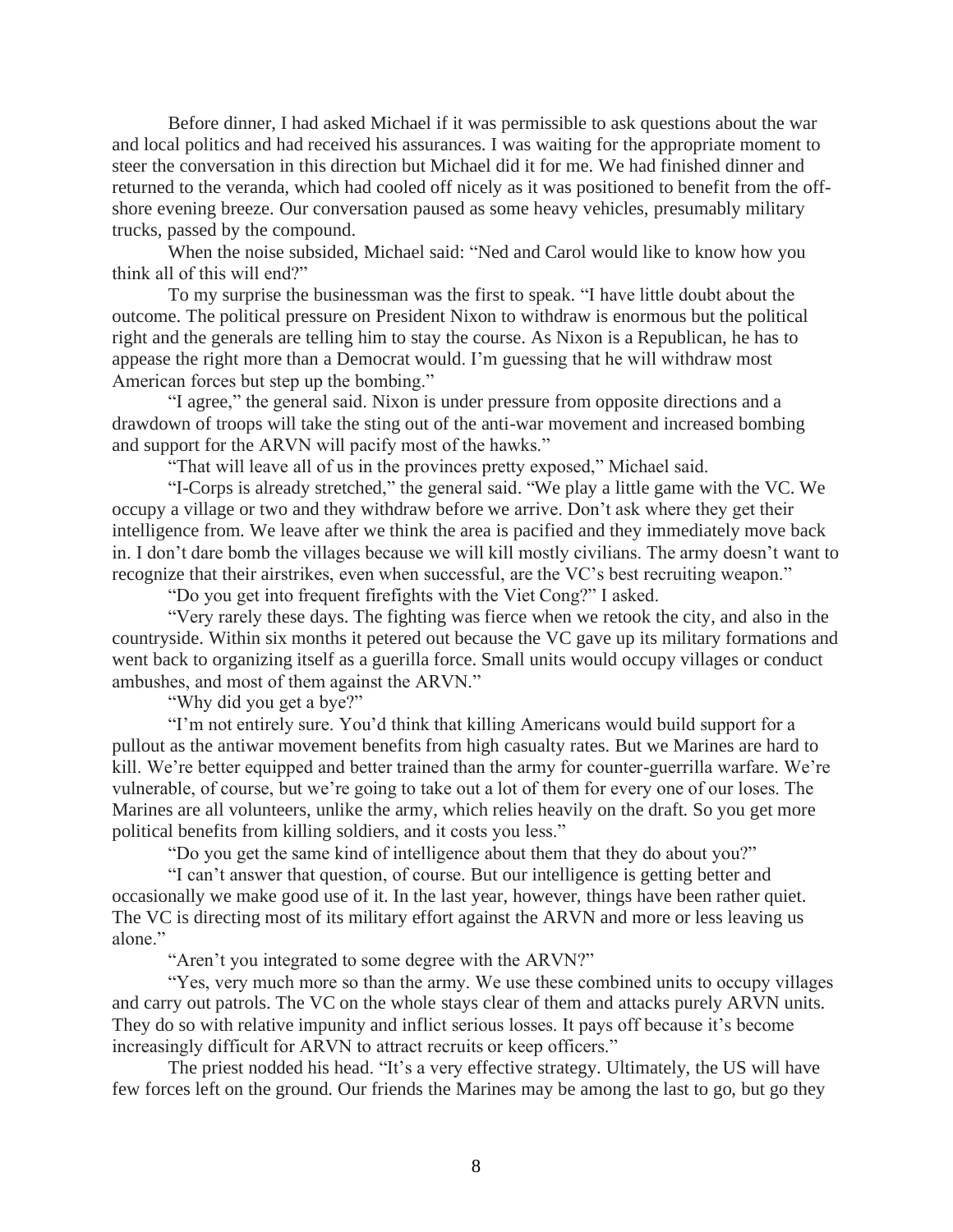Before dinner, I had asked Michael if it was permissible to ask questions about the war and local politics and had received his assurances. I was waiting for the appropriate moment to steer the conversation in this direction but Michael did it for me. We had finished dinner and returned to the veranda, which had cooled off nicely as it was positioned to benefit from the offshore evening breeze. Our conversation paused as some heavy vehicles, presumably military trucks, passed by the compound.

When the noise subsided, Michael said: "Ned and Carol would like to know how you think all of this will end?"

To my surprise the businessman was the first to speak. "I have little doubt about the outcome. The political pressure on President Nixon to withdraw is enormous but the political right and the generals are telling him to stay the course. As Nixon is a Republican, he has to appease the right more than a Democrat would. I'm guessing that he will withdraw most American forces but step up the bombing."

"I agree," the general said. Nixon is under pressure from opposite directions and a drawdown of troops will take the sting out of the anti-war movement and increased bombing and support for the ARVN will pacify most of the hawks."

"That will leave all of us in the provinces pretty exposed," Michael said.

"I-Corps is already stretched," the general said. "We play a little game with the VC. We occupy a village or two and they withdraw before we arrive. Don't ask where they get their intelligence from. We leave after we think the area is pacified and they immediately move back in. I don't dare bomb the villages because we will kill mostly civilians. The army doesn't want to recognize that their airstrikes, even when successful, are the VC's best recruiting weapon."

"Do you get into frequent firefights with the Viet Cong?" I asked.

"Very rarely these days. The fighting was fierce when we retook the city, and also in the countryside. Within six months it petered out because the VC gave up its military formations and went back to organizing itself as a guerilla force. Small units would occupy villages or conduct ambushes, and most of them against the ARVN."

"Why did you get a bye?"

"I'm not entirely sure. You'd think that killing Americans would build support for a pullout as the antiwar movement benefits from high casualty rates. But we Marines are hard to kill. We're better equipped and better trained than the army for counter-guerrilla warfare. We're vulnerable, of course, but we're going to take out a lot of them for every one of our loses. The Marines are all volunteers, unlike the army, which relies heavily on the draft. So you get more political benefits from killing soldiers, and it costs you less."

"Do you get the same kind of intelligence about them that they do about you?"

"I can't answer that question, of course. But our intelligence is getting better and occasionally we make good use of it. In the last year, however, things have been rather quiet. The VC is directing most of its military effort against the ARVN and more or less leaving us alone."

"Aren't you integrated to some degree with the ARVN?"

"Yes, very much more so than the army. We use these combined units to occupy villages and carry out patrols. The VC on the whole stays clear of them and attacks purely ARVN units. They do so with relative impunity and inflict serious losses. It pays off because it's become increasingly difficult for ARVN to attract recruits or keep officers."

The priest nodded his head. "It's a very effective strategy. Ultimately, the US will have few forces left on the ground. Our friends the Marines may be among the last to go, but go they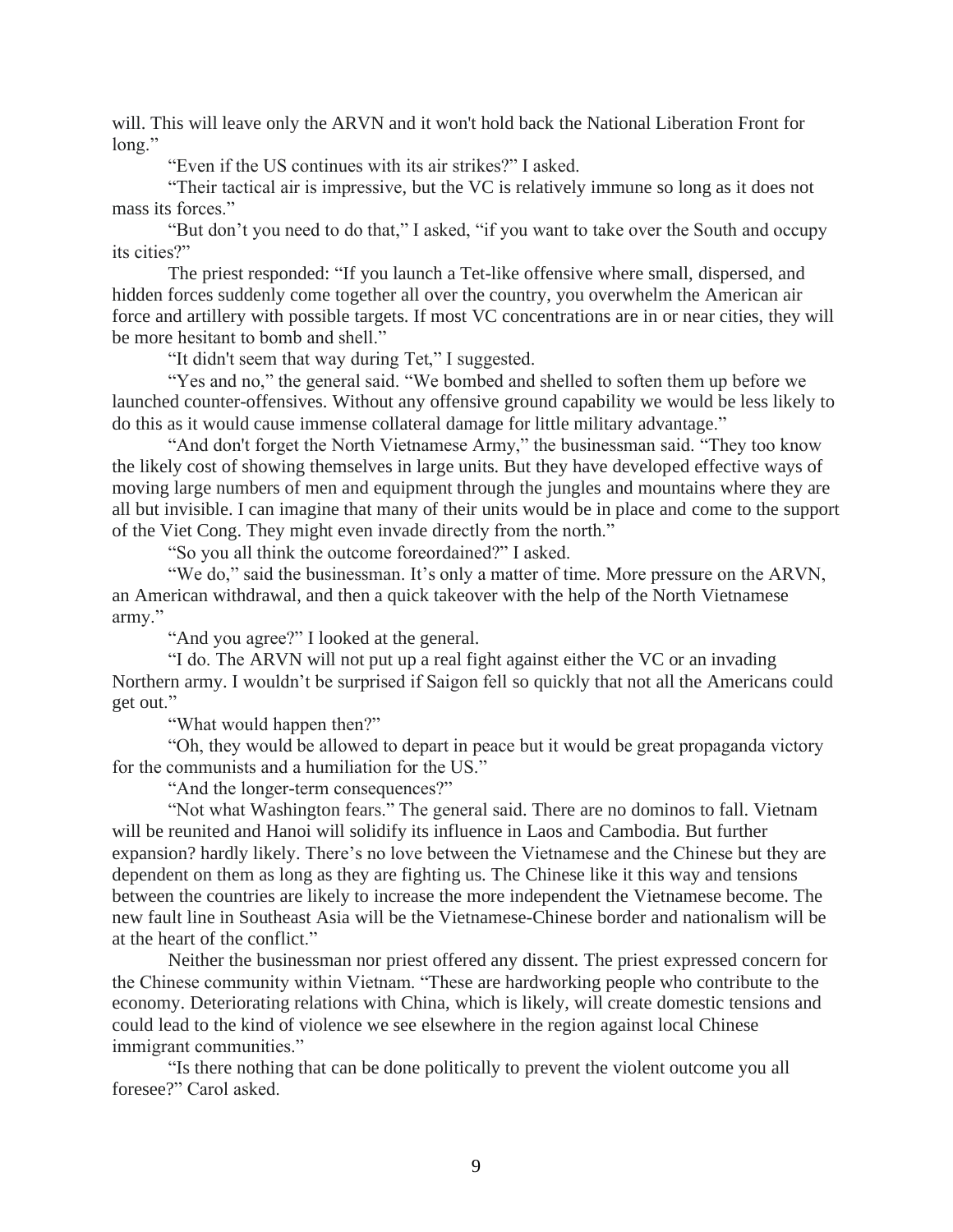will. This will leave only the ARVN and it won't hold back the National Liberation Front for long."

"Even if the US continues with its air strikes?" I asked.

"Their tactical air is impressive, but the VC is relatively immune so long as it does not mass its forces."

"But don't you need to do that," I asked, "if you want to take over the South and occupy its cities?"

The priest responded: "If you launch a Tet-like offensive where small, dispersed, and hidden forces suddenly come together all over the country, you overwhelm the American air force and artillery with possible targets. If most VC concentrations are in or near cities, they will be more hesitant to bomb and shell."

"It didn't seem that way during Tet," I suggested.

"Yes and no," the general said. "We bombed and shelled to soften them up before we launched counter-offensives. Without any offensive ground capability we would be less likely to do this as it would cause immense collateral damage for little military advantage."

"And don't forget the North Vietnamese Army," the businessman said. "They too know the likely cost of showing themselves in large units. But they have developed effective ways of moving large numbers of men and equipment through the jungles and mountains where they are all but invisible. I can imagine that many of their units would be in place and come to the support of the Viet Cong. They might even invade directly from the north."

"So you all think the outcome foreordained?" I asked.

"We do," said the businessman. It's only a matter of time. More pressure on the ARVN, an American withdrawal, and then a quick takeover with the help of the North Vietnamese army."

"And you agree?" I looked at the general.

"I do. The ARVN will not put up a real fight against either the VC or an invading Northern army. I wouldn't be surprised if Saigon fell so quickly that not all the Americans could get out."

"What would happen then?"

"Oh, they would be allowed to depart in peace but it would be great propaganda victory for the communists and a humiliation for the US."

"And the longer-term consequences?"

"Not what Washington fears." The general said. There are no dominos to fall. Vietnam will be reunited and Hanoi will solidify its influence in Laos and Cambodia. But further expansion? hardly likely. There's no love between the Vietnamese and the Chinese but they are dependent on them as long as they are fighting us. The Chinese like it this way and tensions between the countries are likely to increase the more independent the Vietnamese become. The new fault line in Southeast Asia will be the Vietnamese-Chinese border and nationalism will be at the heart of the conflict."

Neither the businessman nor priest offered any dissent. The priest expressed concern for the Chinese community within Vietnam. "These are hardworking people who contribute to the economy. Deteriorating relations with China, which is likely, will create domestic tensions and could lead to the kind of violence we see elsewhere in the region against local Chinese immigrant communities."

"Is there nothing that can be done politically to prevent the violent outcome you all foresee?" Carol asked.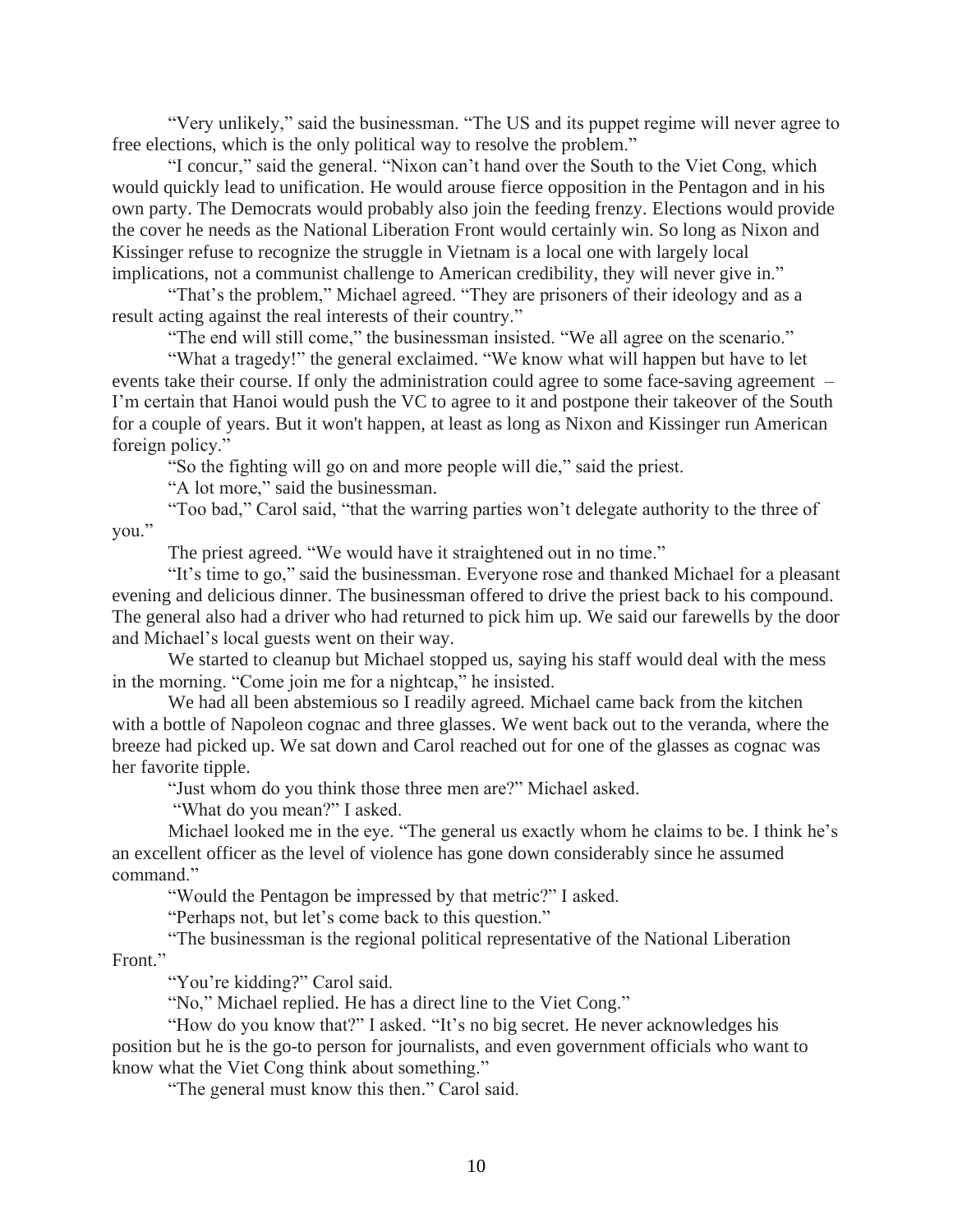"Very unlikely," said the businessman. "The US and its puppet regime will never agree to free elections, which is the only political way to resolve the problem."

"I concur," said the general. "Nixon can't hand over the South to the Viet Cong, which would quickly lead to unification. He would arouse fierce opposition in the Pentagon and in his own party. The Democrats would probably also join the feeding frenzy. Elections would provide the cover he needs as the National Liberation Front would certainly win. So long as Nixon and Kissinger refuse to recognize the struggle in Vietnam is a local one with largely local implications, not a communist challenge to American credibility, they will never give in."

"That's the problem," Michael agreed. "They are prisoners of their ideology and as a result acting against the real interests of their country."

"The end will still come," the businessman insisted. "We all agree on the scenario."

"What a tragedy!" the general exclaimed. "We know what will happen but have to let events take their course. If only the administration could agree to some face-saving agreement – I'm certain that Hanoi would push the VC to agree to it and postpone their takeover of the South for a couple of years. But it won't happen, at least as long as Nixon and Kissinger run American foreign policy."

"So the fighting will go on and more people will die," said the priest.

"A lot more," said the businessman.

"Too bad," Carol said, "that the warring parties won't delegate authority to the three of you."

The priest agreed. "We would have it straightened out in no time."

"It's time to go," said the businessman. Everyone rose and thanked Michael for a pleasant evening and delicious dinner. The businessman offered to drive the priest back to his compound. The general also had a driver who had returned to pick him up. We said our farewells by the door and Michael's local guests went on their way.

We started to cleanup but Michael stopped us, saying his staff would deal with the mess in the morning. "Come join me for a nightcap," he insisted.

We had all been abstemious so I readily agreed. Michael came back from the kitchen with a bottle of Napoleon cognac and three glasses. We went back out to the veranda, where the breeze had picked up. We sat down and Carol reached out for one of the glasses as cognac was her favorite tipple.

"Just whom do you think those three men are?" Michael asked.

"What do you mean?" I asked.

Michael looked me in the eye. "The general us exactly whom he claims to be. I think he's an excellent officer as the level of violence has gone down considerably since he assumed command."

"Would the Pentagon be impressed by that metric?" I asked.

"Perhaps not, but let's come back to this question."

"The businessman is the regional political representative of the National Liberation Front."

"You're kidding?" Carol said.

"No," Michael replied. He has a direct line to the Viet Cong."

"How do you know that?" I asked. "It's no big secret. He never acknowledges his position but he is the go-to person for journalists, and even government officials who want to know what the Viet Cong think about something."

"The general must know this then." Carol said.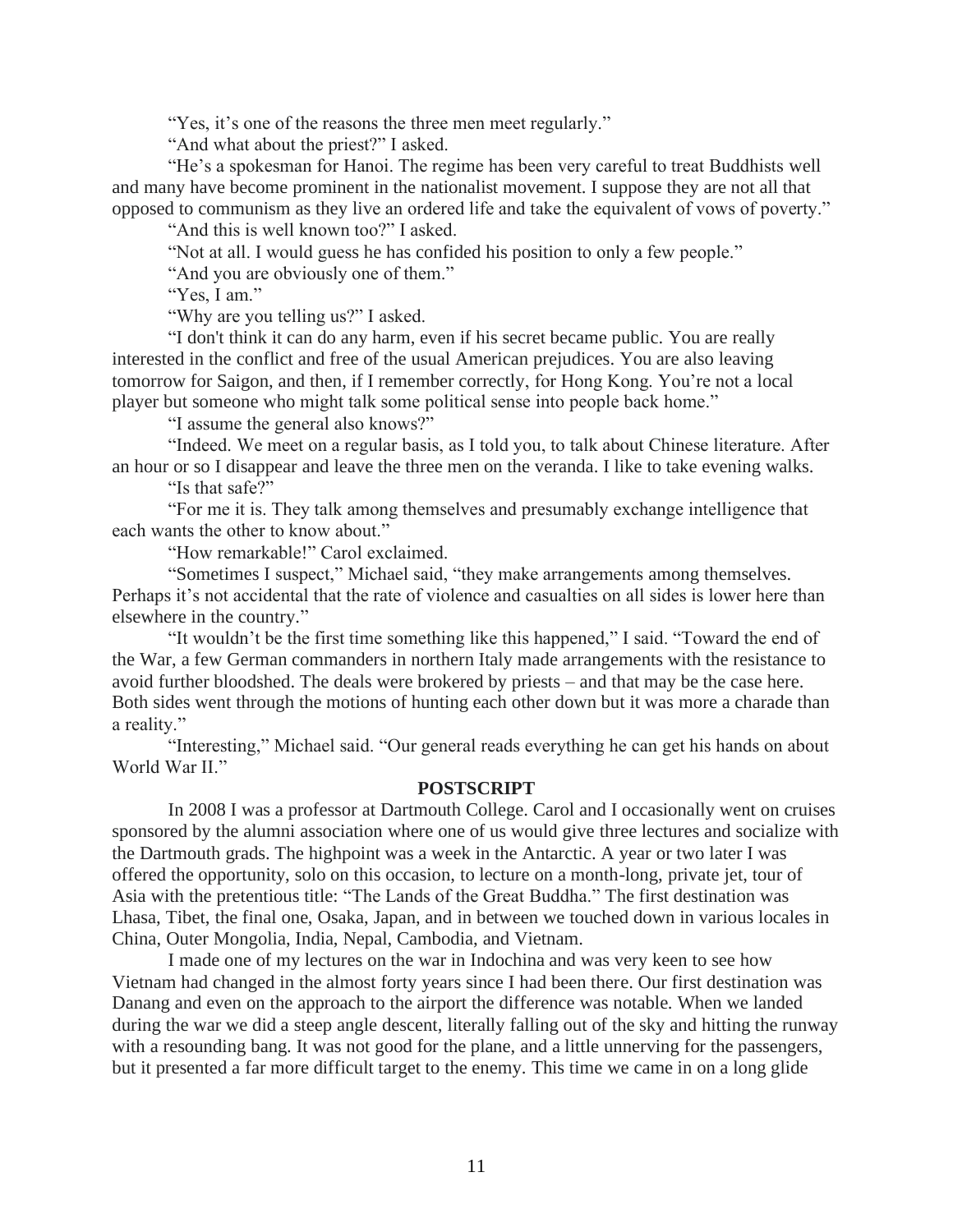"Yes, it's one of the reasons the three men meet regularly."

"And what about the priest?" I asked.

"He's a spokesman for Hanoi. The regime has been very careful to treat Buddhists well and many have become prominent in the nationalist movement. I suppose they are not all that opposed to communism as they live an ordered life and take the equivalent of vows of poverty."

"And this is well known too?" I asked.

"Not at all. I would guess he has confided his position to only a few people."

"And you are obviously one of them."

"Yes, I am."

"Why are you telling us?" I asked.

"I don't think it can do any harm, even if his secret became public. You are really interested in the conflict and free of the usual American prejudices. You are also leaving tomorrow for Saigon, and then, if I remember correctly, for Hong Kong. You're not a local player but someone who might talk some political sense into people back home."

"I assume the general also knows?"

"Indeed. We meet on a regular basis, as I told you, to talk about Chinese literature. After an hour or so I disappear and leave the three men on the veranda. I like to take evening walks.

"Is that safe?"

"For me it is. They talk among themselves and presumably exchange intelligence that each wants the other to know about."

"How remarkable!" Carol exclaimed.

"Sometimes I suspect," Michael said, "they make arrangements among themselves. Perhaps it's not accidental that the rate of violence and casualties on all sides is lower here than elsewhere in the country."

"It wouldn't be the first time something like this happened," I said. "Toward the end of the War, a few German commanders in northern Italy made arrangements with the resistance to avoid further bloodshed. The deals were brokered by priests – and that may be the case here. Both sides went through the motions of hunting each other down but it was more a charade than a reality."

"Interesting," Michael said. "Our general reads everything he can get his hands on about World War II."

## **POSTSCRIPT**

In 2008 I was a professor at Dartmouth College. Carol and I occasionally went on cruises sponsored by the alumni association where one of us would give three lectures and socialize with the Dartmouth grads. The highpoint was a week in the Antarctic. A year or two later I was offered the opportunity, solo on this occasion, to lecture on a month-long, private jet, tour of Asia with the pretentious title: "The Lands of the Great Buddha." The first destination was Lhasa, Tibet, the final one, Osaka, Japan, and in between we touched down in various locales in China, Outer Mongolia, India, Nepal, Cambodia, and Vietnam.

I made one of my lectures on the war in Indochina and was very keen to see how Vietnam had changed in the almost forty years since I had been there. Our first destination was Danang and even on the approach to the airport the difference was notable. When we landed during the war we did a steep angle descent, literally falling out of the sky and hitting the runway with a resounding bang. It was not good for the plane, and a little unnerving for the passengers, but it presented a far more difficult target to the enemy. This time we came in on a long glide